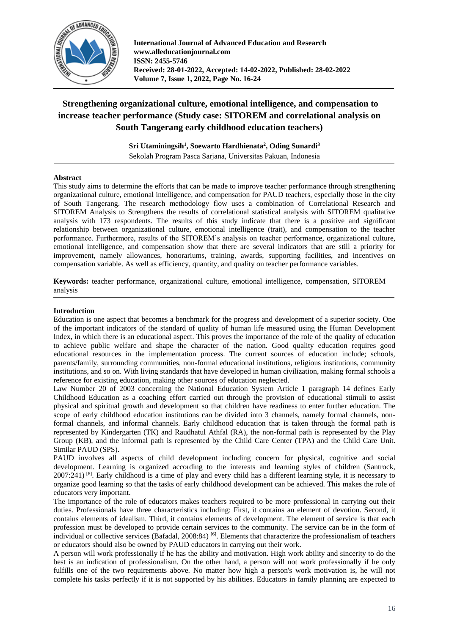

**International Journal of Advanced Education and Research www.alleducationjournal.com ISSN: 2455-5746 Received: 28-01-2022, Accepted: 14-02-2022, Published: 28-02-2022 Volume 7, Issue 1, 2022, Page No. 16-24**

# **Strengthening organizational culture, emotional intelligence, and compensation to increase teacher performance (Study case: SITOREM and correlational analysis on South Tangerang early childhood education teachers)**

**Sri Utaminingsih<sup>1</sup> , Soewarto Hardhienata<sup>2</sup> , Oding Sunardi<sup>3</sup>** Sekolah Program Pasca Sarjana, Universitas Pakuan, Indonesia

# **Abstract**

This study aims to determine the efforts that can be made to improve teacher performance through strengthening organizational culture, emotional intelligence, and compensation for PAUD teachers, especially those in the city of South Tangerang. The research methodology flow uses a combination of Correlational Research and SITOREM Analysis to Strengthens the results of correlational statistical analysis with SITOREM qualitative analysis with 173 respondents. The results of this study indicate that there is a positive and significant relationship between organizational culture, emotional intelligence (trait), and compensation to the teacher performance. Furthermore, results of the SITOREM's analysis on teacher performance, organizational culture, emotional intelligence, and compensation show that there are several indicators that are still a priority for improvement, namely allowances, honorariums, training, awards, supporting facilities, and incentives on compensation variable. As well as efficiency, quantity, and quality on teacher performance variables.

**Keywords:** teacher performance, organizational culture, emotional intelligence, compensation, SITOREM analysis

#### **Introduction**

Education is one aspect that becomes a benchmark for the progress and development of a superior society. One of the important indicators of the standard of quality of human life measured using the Human Development Index, in which there is an educational aspect. This proves the importance of the role of the quality of education to achieve public welfare and shape the character of the nation. Good quality education requires good educational resources in the implementation process. The current sources of education include; schools, parents/family, surrounding communities, non-formal educational institutions, religious institutions, community institutions, and so on. With living standards that have developed in human civilization, making formal schools a reference for existing education, making other sources of education neglected.

Law Number 20 of 2003 concerning the National Education System Article 1 paragraph 14 defines Early Childhood Education as a coaching effort carried out through the provision of educational stimuli to assist physical and spiritual growth and development so that children have readiness to enter further education. The scope of early childhood education institutions can be divided into 3 channels, namely formal channels, nonformal channels, and informal channels. Early childhood education that is taken through the formal path is represented by Kindergarten (TK) and Raudhatul Athfal (RA), the non-formal path is represented by the Play Group (KB), and the informal path is represented by the Child Care Center (TPA) and the Child Care Unit. Similar PAUD (SPS).

PAUD involves all aspects of child development including concern for physical, cognitive and social development. Learning is organized according to the interests and learning styles of children (Santrock, 2007:241)<sup>[8]</sup>. Early childhood is a time of play and every child has a different learning style, it is necessary to organize good learning so that the tasks of early childhood development can be achieved. This makes the role of educators very important.

The importance of the role of educators makes teachers required to be more professional in carrying out their duties. Professionals have three characteristics including: First, it contains an element of devotion. Second, it contains elements of idealism. Third, it contains elements of development. The element of service is that each profession must be developed to provide certain services to the community. The service can be in the form of individual or collective services (Bafadal, 2008:84)<sup>[6]</sup>. Elements that characterize the professionalism of teachers or educators should also be owned by PAUD educators in carrying out their work.

A person will work professionally if he has the ability and motivation. High work ability and sincerity to do the best is an indication of professionalism. On the other hand, a person will not work professionally if he only fulfills one of the two requirements above. No matter how high a person's work motivation is, he will not complete his tasks perfectly if it is not supported by his abilities. Educators in family planning are expected to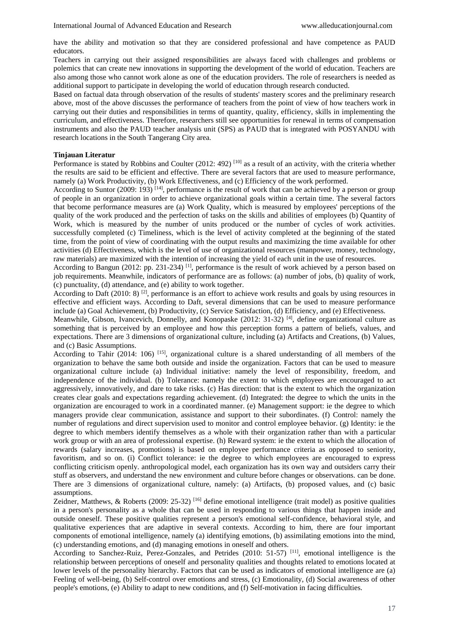have the ability and motivation so that they are considered professional and have competence as PAUD educators.

Teachers in carrying out their assigned responsibilities are always faced with challenges and problems or polemics that can create new innovations in supporting the development of the world of education. Teachers are also among those who cannot work alone as one of the education providers. The role of researchers is needed as additional support to participate in developing the world of education through research conducted.

Based on factual data through observation of the results of students' mastery scores and the preliminary research above, most of the above discusses the performance of teachers from the point of view of how teachers work in carrying out their duties and responsibilities in terms of quantity, quality, efficiency, skills in implementing the curriculum, and effectiveness. Therefore, researchers still see opportunities for renewal in terms of compensation instruments and also the PAUD teacher analysis unit (SPS) as PAUD that is integrated with POSYANDU with research locations in the South Tangerang City area.

#### **Tinjauan Literatur**

Performance is stated by Robbins and Coulter (2012: 492)<sup>[10]</sup> as a result of an activity, with the criteria whether the results are said to be efficient and effective. There are several factors that are used to measure performance, namely (a) Work Productivity, (b) Work Effectiveness, and (c) Efficiency of the work performed.

According to Suntor (2009: 193) <sup>[14]</sup>, performance is the result of work that can be achieved by a person or group of people in an organization in order to achieve organizational goals within a certain time. The several factors that become performance measures are (a) Work Quality, which is measured by employees' perceptions of the quality of the work produced and the perfection of tasks on the skills and abilities of employees (b) Quantity of Work, which is measured by the number of units produced or the number of cycles of work activities. successfully completed (c) Timeliness, which is the level of activity completed at the beginning of the stated time, from the point of view of coordinating with the output results and maximizing the time available for other activities (d) Effectiveness, which is the level of use of organizational resources (manpower, money, technology, raw materials) are maximized with the intention of increasing the yield of each unit in the use of resources.

According to Bangun (2012: pp. 231-234) <sup>[1]</sup>, performance is the result of work achieved by a person based on job requirements. Meanwhile, indicators of performance are as follows: (a) number of jobs, (b) quality of work, (c) punctuality, (d) attendance, and (e) ability to work together.

According to Daft (2010: 8) <sup>[2]</sup>, performance is an effort to achieve work results and goals by using resources in effective and efficient ways. According to Daft, several dimensions that can be used to measure performance include (a) Goal Achievement, (b) Productivity, (c) Service Satisfaction, (d) Efficiency, and (e) Effectiveness.

Meanwhile, Gibson, Ivancevich, Donnelly, and Konopaske (2012:  $31-32$ ) [4], define organizational culture as something that is perceived by an employee and how this perception forms a pattern of beliefs, values, and expectations. There are 3 dimensions of organizational culture, including (a) Artifacts and Creations, (b) Values, and (c) Basic Assumptions.

According to Tahir (2014: 106)  $^{[15]}$ , organizational culture is a shared understanding of all members of the organization to behave the same both outside and inside the organization. Factors that can be used to measure organizational culture include (a) Individual initiative: namely the level of responsibility, freedom, and independence of the individual. (b) Tolerance: namely the extent to which employees are encouraged to act aggressively, innovatively, and dare to take risks. (c) Has direction: that is the extent to which the organization creates clear goals and expectations regarding achievement. (d) Integrated: the degree to which the units in the organization are encouraged to work in a coordinated manner. (e) Management support: ie the degree to which managers provide clear communication, assistance and support to their subordinates. (f) Control: namely the number of regulations and direct supervision used to monitor and control employee behavior. (g) Identity: ie the degree to which members identify themselves as a whole with their organization rather than with a particular work group or with an area of professional expertise. (h) Reward system: ie the extent to which the allocation of rewards (salary increases, promotions) is based on employee performance criteria as opposed to seniority, favoritism, and so on. (i) Conflict tolerance: ie the degree to which employees are encouraged to express conflicting criticism openly. anthropological model, each organization has its own way and outsiders carry their stuff as observers, and understand the new environment and culture before changes or observations. can be done. There are 3 dimensions of organizational culture, namely: (a) Artifacts, (b) proposed values, and (c) basic assumptions.

Zeidner, Matthews, & Roberts (2009: 25-32) <sup>[16]</sup> define emotional intelligence (trait model) as positive qualities in a person's personality as a whole that can be used in responding to various things that happen inside and outside oneself. These positive qualities represent a person's emotional self-confidence, behavioral style, and qualitative experiences that are adaptive in several contexts. According to him, there are four important components of emotional intelligence, namely (a) identifying emotions, (b) assimilating emotions into the mind, (c) understanding emotions, and (d) managing emotions in oneself and others.

According to Sanchez-Ruiz, Perez-Gonzales, and Petrides (2010: 51-57) [11], emotional intelligence is the relationship between perceptions of oneself and personality qualities and thoughts related to emotions located at lower levels of the personality hierarchy. Factors that can be used as indicators of emotional intelligence are (a) Feeling of well-being, (b) Self-control over emotions and stress, (c) Emotionality, (d) Social awareness of other people's emotions, (e) Ability to adapt to new conditions, and (f) Self-motivation in facing difficulties.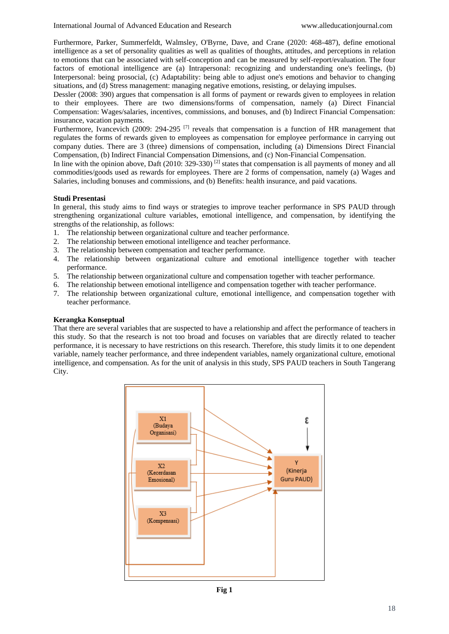Furthermore, Parker, Summerfeldt, Walmsley, O'Byrne, Dave, and Crane (2020: 468-487), define emotional intelligence as a set of personality qualities as well as qualities of thoughts, attitudes, and perceptions in relation to emotions that can be associated with self-conception and can be measured by self-report/evaluation. The four factors of emotional intelligence are (a) Intrapersonal: recognizing and understanding one's feelings, (b) Interpersonal: being prosocial, (c) Adaptability: being able to adjust one's emotions and behavior to changing situations, and (d) Stress management: managing negative emotions, resisting, or delaying impulses.

Dessler (2008: 390) argues that compensation is all forms of payment or rewards given to employees in relation to their employees. There are two dimensions/forms of compensation, namely (a) Direct Financial Compensation: Wages/salaries, incentives, commissions, and bonuses, and (b) Indirect Financial Compensation: insurance, vacation payments.

Furthermore, Ivancevich (2009: 294-295<sup>[7]</sup> reveals that compensation is a function of HR management that regulates the forms of rewards given to employees as compensation for employee performance in carrying out company duties. There are 3 (three) dimensions of compensation, including (a) Dimensions Direct Financial Compensation, (b) Indirect Financial Compensation Dimensions, and (c) Non-Financial Compensation.

In line with the opinion above, Daft  $(2010: 329-330)$ <sup>[2]</sup> states that compensation is all payments of money and all commodities/goods used as rewards for employees. There are 2 forms of compensation, namely (a) Wages and Salaries, including bonuses and commissions, and (b) Benefits: health insurance, and paid vacations.

# **Studi Presentasi**

In general, this study aims to find ways or strategies to improve teacher performance in SPS PAUD through strengthening organizational culture variables, emotional intelligence, and compensation, by identifying the strengths of the relationship, as follows:

- 1. The relationship between organizational culture and teacher performance.
- 2. The relationship between emotional intelligence and teacher performance.
- 3. The relationship between compensation and teacher performance.
- 4. The relationship between organizational culture and emotional intelligence together with teacher performance.
- 5. The relationship between organizational culture and compensation together with teacher performance.
- 6. The relationship between emotional intelligence and compensation together with teacher performance.
- 7. The relationship between organizational culture, emotional intelligence, and compensation together with teacher performance.

#### **Kerangka Konseptual**

That there are several variables that are suspected to have a relationship and affect the performance of teachers in this study. So that the research is not too broad and focuses on variables that are directly related to teacher performance, it is necessary to have restrictions on this research. Therefore, this study limits it to one dependent variable, namely teacher performance, and three independent variables, namely organizational culture, emotional intelligence, and compensation. As for the unit of analysis in this study, SPS PAUD teachers in South Tangerang City.

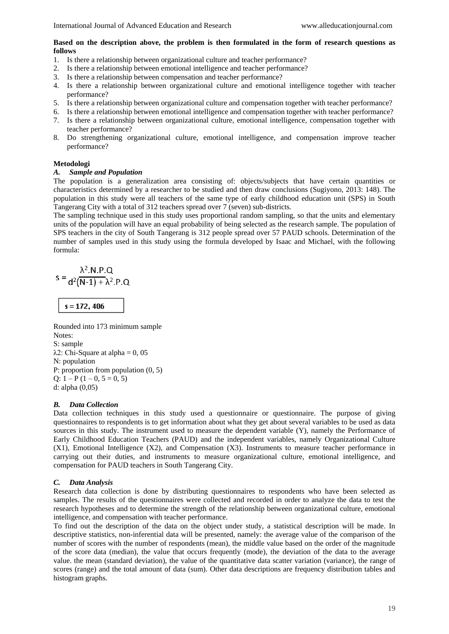# **Based on the description above, the problem is then formulated in the form of research questions as follows**

- 1. Is there a relationship between organizational culture and teacher performance?
- 2. Is there a relationship between emotional intelligence and teacher performance?
- 3. Is there a relationship between compensation and teacher performance?
- 4. Is there a relationship between organizational culture and emotional intelligence together with teacher performance?
- 5. Is there a relationship between organizational culture and compensation together with teacher performance?
- 6. Is there a relationship between emotional intelligence and compensation together with teacher performance?
- 7. Is there a relationship between organizational culture, emotional intelligence, compensation together with teacher performance?
- 8. Do strengthening organizational culture, emotional intelligence, and compensation improve teacher performance?

# **Metodologi**

# *A. Sample and Population*

The population is a generalization area consisting of: objects/subjects that have certain quantities or characteristics determined by a researcher to be studied and then draw conclusions (Sugiyono, 2013: 148). The population in this study were all teachers of the same type of early childhood education unit (SPS) in South Tangerang City with a total of 312 teachers spread over 7 (seven) sub-districts*.*

The sampling technique used in this study uses proportional random sampling, so that the units and elementary units of the population will have an equal probability of being selected as the research sample. The population of SPS teachers in the city of South Tangerang is 312 people spread over 57 PAUD schools. Determination of the number of samples used in this study using the formula developed by Isaac and Michael, with the following formula:

$$
s = \frac{\lambda^2.N.P.Q}{d^2(N-1) + \lambda^2.P.Q}
$$
  
s = 172, 406

Rounded into 173 minimum sample Notes: S: sample  $λ2$ : Chi-Square at alpha = 0, 05 N: population P: proportion from population (0, 5) Q:  $1-P(1-0, 5=0, 5)$ d: alpha (0,05)

#### *B. Data Collection*

Data collection techniques in this study used a questionnaire or questionnaire. The purpose of giving questionnaires to respondents is to get information about what they get about several variables to be used as data sources in this study. The instrument used to measure the dependent variable (Y), namely the Performance of Early Childhood Education Teachers (PAUD) and the independent variables, namely Organizational Culture (X1), Emotional Intelligence (X2), and Compensation (X3). Instruments to measure teacher performance in carrying out their duties, and instruments to measure organizational culture, emotional intelligence, and compensation for PAUD teachers in South Tangerang City.

# *C. Data Analysis*

Research data collection is done by distributing questionnaires to respondents who have been selected as samples. The results of the questionnaires were collected and recorded in order to analyze the data to test the research hypotheses and to determine the strength of the relationship between organizational culture, emotional intelligence, and compensation with teacher performance.

To find out the description of the data on the object under study, a statistical description will be made. In descriptive statistics, non-inferential data will be presented, namely: the average value of the comparison of the number of scores with the number of respondents (mean), the middle value based on the order of the magnitude of the score data (median), the value that occurs frequently (mode), the deviation of the data to the average value. the mean (standard deviation), the value of the quantitative data scatter variation (variance), the range of scores (range) and the total amount of data (sum). Other data descriptions are frequency distribution tables and histogram graphs.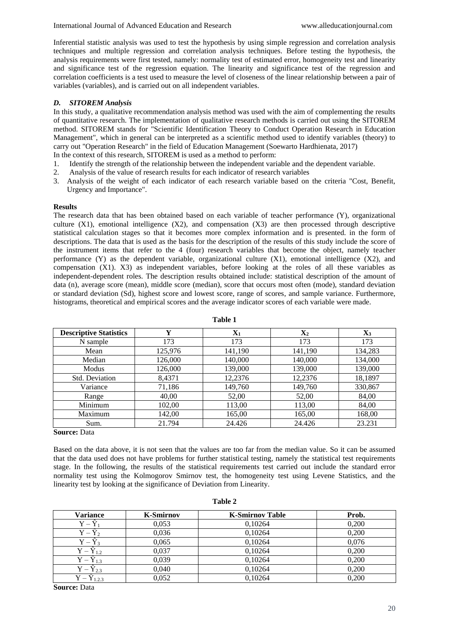Inferential statistic analysis was used to test the hypothesis by using simple regression and correlation analysis techniques and multiple regression and correlation analysis techniques. Before testing the hypothesis, the analysis requirements were first tested, namely: normality test of estimated error, homogeneity test and linearity and significance test of the regression equation. The linearity and significance test of the regression and correlation coefficients is a test used to measure the level of closeness of the linear relationship between a pair of variables (variables), and is carried out on all independent variables.

# *D. SITOREM Analysis*

In this study, a qualitative recommendation analysis method was used with the aim of complementing the results of quantitative research. The implementation of qualitative research methods is carried out using the SITOREM method. SITOREM stands for "Scientific Identification Theory to Conduct Operation Research in Education Management", which in general can be interpreted as a scientific method used to identify variables (theory) to carry out "Operation Research" in the field of Education Management (Soewarto Hardhienata, 2017) In the context of this research, SITOREM is used as a method to perform:

1. Identify the strength of the relationship between the independent variable and the dependent variable.

- 2. Analysis of the value of research results for each indicator of research variables
- 3. Analysis of the weight of each indicator of each research variable based on the criteria "Cost, Benefit, Urgency and Importance".

# **Results**

The research data that has been obtained based on each variable of teacher performance (Y), organizational culture  $(X1)$ , emotional intelligence  $(X2)$ , and compensation  $(X3)$  are then processed through descriptive statistical calculation stages so that it becomes more complex information and is presented. in the form of descriptions. The data that is used as the basis for the description of the results of this study include the score of the instrument items that refer to the 4 (four) research variables that become the object, namely teacher performance (Y) as the dependent variable, organizational culture (X1), emotional intelligence (X2), and compensation (X1). X3) as independent variables, before looking at the roles of all these variables as independent-dependent roles. The description results obtained include: statistical description of the amount of data (n), average score (mean), middle score (median), score that occurs most often (mode), standard deviation or standard deviation (Sd), highest score and lowest score, range of scores, and sample variance. Furthermore, histograms, theoretical and empirical scores and the average indicator scores of each variable were made.

| <b>Descriptive Statistics</b> | v       | $\mathbf{X}_1$ | $\mathbf{X}_2$ | $\mathbf{X}_3$ |
|-------------------------------|---------|----------------|----------------|----------------|
| N sample                      | 173     | 173            | 173            | 173            |
| Mean                          | 125,976 | 141,190        | 141,190        | 134,283        |
| Median                        | 126,000 | 140,000        | 140,000        | 134,000        |
| Modus                         | 126,000 | 139,000        | 139,000        | 139,000        |
| Std. Deviation                | 8,4371  | 12,2376        | 12,2376        | 18,1897        |
| Variance                      | 71,186  | 149,760        | 149,760        | 330,867        |
| Range                         | 40,00   | 52,00          | 52,00          | 84,00          |
| Minimum                       | 102,00  | 113,00         | 113,00         | 84,00          |
| Maximum                       | 142,00  | 165,00         | 165,00         | 168,00         |
| Sum.                          | 21.794  | 24.426         | 24.426         | 23.231         |

**Table 1**

**Source:** Data

Based on the data above, it is not seen that the values are too far from the median value. So it can be assumed that the data used does not have problems for further statistical testing, namely the statistical test requirements stage. In the following, the results of the statistical requirements test carried out include the standard error normality test using the Kolmogorov Smirnov test, the homogeneity test using Levene Statistics, and the linearity test by looking at the significance of Deviation from Linearity.

| Variance              | <b>K-Smirnov</b> | <b>K-Smirnov Table</b> | Prob. |
|-----------------------|------------------|------------------------|-------|
| $Y -$                 | 0,053            | 0,10264                | 0,200 |
|                       | 0,036            | 0,10264                | 0,200 |
| $Y - Y_3$             | 0,065            | 0,10264                | 0,076 |
| $\rm Y-Y_{1.2}$       | 0,037            | 0,10264                | 0,200 |
| $\rm Y-\hat{Y}_{1.3}$ | 0,039            | 0,10264                | 0,200 |
| $Y - \hat{Y}_{2.3}$   | 0,040            | 0,10264                | 0,200 |
| $Y - \hat{Y}_{1,2,3}$ | 0.052            | 0,10264                | 0,200 |

**Table 2**

**Source:** Data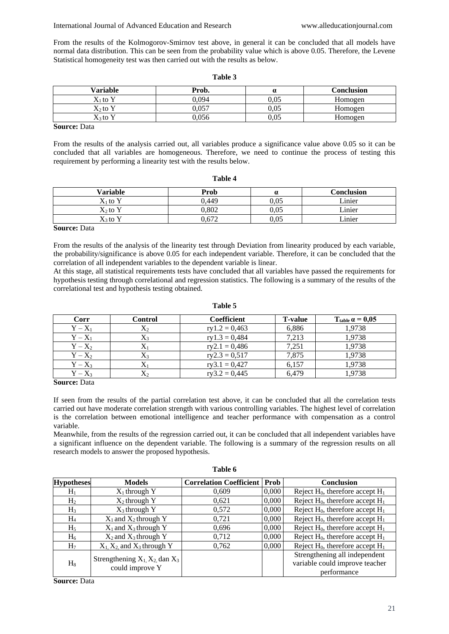From the results of the Kolmogorov-Smirnov test above, in general it can be concluded that all models have normal data distribution. This can be seen from the probability value which is above 0.05. Therefore, the Levene Statistical homogeneity test was then carried out with the results as below.

#### **Table 3**

| Variable   | Prob. | $\alpha$ | Conclusion |
|------------|-------|----------|------------|
| $X_1$ to Y | 9.094 | 0,05     | Homogen    |
| $X_2$ to Y | 0.057 | 0.05     | Homogen    |
| $X_3$ to Y | 0,056 | 0,05     | Homogen    |

**Source:** Data

From the results of the analysis carried out, all variables produce a significance value above 0.05 so it can be concluded that all variables are homogeneous. Therefore, we need to continue the process of testing this requirement by performing a linearity test with the results below.

| Variable                       | Prob  | a    | Conclusion |
|--------------------------------|-------|------|------------|
| $\mathrm{X}_1$ to $\mathrm{Y}$ | 0.449 | 0,05 | Linier     |
| X2 to Y                        | 0,802 | 0,05 | Linier     |
| $X_3$ to Y                     | 0,672 | 0,05 | Linier     |

**Table 4**

### **Source:** Data

From the results of the analysis of the linearity test through Deviation from linearity produced by each variable, the probability/significance is above 0.05 for each independent variable. Therefore, it can be concluded that the correlation of all independent variables to the dependent variable is linear.

At this stage, all statistical requirements tests have concluded that all variables have passed the requirements for hypothesis testing through correlational and regression statistics. The following is a summary of the results of the correlational test and hypothesis testing obtained.

| Corr      | Control        | <b>Coefficient</b> | <b>T-value</b> | $T_{\text{table}} \alpha = 0.05$ |
|-----------|----------------|--------------------|----------------|----------------------------------|
| $Y - X_1$ | $X_2$          | $ry1.2 = 0,463$    | 6,886          | 1,9738                           |
| $Y - X_1$ | $\mathrm{X}_3$ | $ry1.3 = 0,484$    | 7,213          | 1,9738                           |
| $Y - X_2$ | $\Lambda$ 1    | $ry2.1 = 0,486$    | 7.251          | 1.9738                           |
| $Y - X_2$ | X3             | $ry2.3 = 0,517$    | 7.875          | 1.9738                           |
| $Y - X_3$ | $\Delta$       | $ry3.1 = 0,427$    | 6.157          | 1.9738                           |
| $Y - X_3$ | $X_2$          | $ry3.2 = 0,445$    | 6,479          | 1.9738                           |

### **Table 5**

**Source:** Data

If seen from the results of the partial correlation test above, it can be concluded that all the correlation tests carried out have moderate correlation strength with various controlling variables. The highest level of correlation is the correlation between emotional intelligence and teacher performance with compensation as a control variable.

Meanwhile, from the results of the regression carried out, it can be concluded that all independent variables have a significant influence on the dependent variable. The following is a summary of the regression results on all research models to answer the proposed hypothesis.

**Table 6**

| <b>Hypotheses</b> | <b>Models</b>                      | <b>Correlation Coefficient</b> | <b>Prob</b> | <b>Conclusion</b>                     |
|-------------------|------------------------------------|--------------------------------|-------------|---------------------------------------|
|                   |                                    |                                |             |                                       |
| $H_1$             | $X_1$ through Y                    | 0.609                          | 0,000       | Reject $H_0$ , therefore accept $H_1$ |
| H <sub>2</sub>    | $X_2$ through Y                    | 0,621                          | 0,000       | Reject $H_0$ , therefore accept $H_1$ |
| H <sub>3</sub>    | $X_3$ through Y                    | 0,572                          | 0,000       | Reject $H_0$ , therefore accept $H_1$ |
| $H_4$             | $X_1$ and $X_2$ through Y          | 0,721                          | 0,000       | Reject $H_0$ , therefore accept $H_1$ |
| $H_5$             | $X_1$ and $X_3$ through Y          | 0,696                          | 0,000       | Reject $H_0$ , therefore accept $H_1$ |
| $H_6$             | $X_2$ and $X_3$ through Y          | 0,712                          | 0,000       | Reject $H_0$ , therefore accept $H_1$ |
| H <sub>7</sub>    | $X_1, X_2$ and $X_3$ through Y     | 0,762                          | 0,000       | Reject $H_0$ , therefore accept $H_1$ |
| $H_8$             |                                    |                                |             | Strengthening all independent         |
|                   | Strengthening $X_1, X_2$ dan $X_3$ |                                |             | variable could improve teacher        |
|                   | could improve Y                    |                                |             | performance                           |

**Source:** Data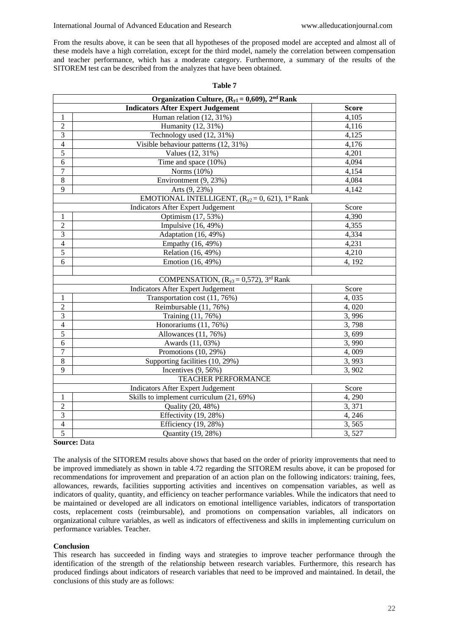From the results above, it can be seen that all hypotheses of the proposed model are accepted and almost all of these models have a high correlation, except for the third model, namely the correlation between compensation and teacher performance, which has a moderate category. Furthermore, a summary of the results of the SITOREM test can be described from the analyzes that have been obtained.

|                | Organization Culture, $(R_{y1} = 0.609)$ , $2nd Rank$             |              |  |  |  |
|----------------|-------------------------------------------------------------------|--------------|--|--|--|
|                | <b>Indicators After Expert Judgement</b>                          | <b>Score</b> |  |  |  |
| 1              | Human relation (12, 31%)                                          | 4,105        |  |  |  |
| $\overline{2}$ | Humanity (12, 31%)                                                | 4,116        |  |  |  |
| $\overline{3}$ | Technology used (12, 31%)                                         | 4,125        |  |  |  |
| $\overline{4}$ | Visible behaviour patterns (12, 31%)                              | 4,176        |  |  |  |
| $\overline{5}$ | Values (12, 31%)                                                  | 4,201        |  |  |  |
| 6              | Time and space (10%)                                              | 4,094        |  |  |  |
| $\overline{7}$ | Norms (10%)                                                       | 4,154        |  |  |  |
| $\overline{8}$ | Environtment (9, 23%)                                             | 4,084        |  |  |  |
| 9              | Arts (9, 23%)                                                     | 4,142        |  |  |  |
|                | EMOTIONAL INTELLIGENT, $(R_{v2} = 0, 621)$ , 1 <sup>st</sup> Rank |              |  |  |  |
|                | <b>Indicators After Expert Judgement</b>                          | Score        |  |  |  |
| 1              | Optimism (17, 53%)                                                | 4,390        |  |  |  |
| $\overline{2}$ | Impulsive (16, 49%)                                               | 4,355        |  |  |  |
| $\overline{3}$ | Adaptation (16, 49%)                                              | 4,334        |  |  |  |
| $\overline{4}$ | Empathy (16, 49%)                                                 | 4,231        |  |  |  |
| $\overline{5}$ | Relation (16, 49%)                                                | 4,210        |  |  |  |
| 6              | Emotion (16, 49%)                                                 | 4, 192       |  |  |  |
|                |                                                                   |              |  |  |  |
|                | COMPENSATION, $(R_{y3} = 0.572)$ , 3 <sup>rd</sup> Rank           |              |  |  |  |
|                | <b>Indicators After Expert Judgement</b>                          | Score        |  |  |  |
| 1              | Transportation cost (11, 76%)                                     | 4,035        |  |  |  |
| $\overline{c}$ | Reimbursable (11, 76%)                                            | 4,020        |  |  |  |
| 3              | Training (11, 76%)                                                | 3,996        |  |  |  |
| $\overline{4}$ | Honorariums (11, 76%)                                             | 3,798        |  |  |  |
| $\overline{5}$ | Allowances (11, 76%)                                              | 3,699        |  |  |  |
| 6              | Awards (11, 03%)                                                  | 3,990        |  |  |  |
| $\overline{7}$ | Promotions (10, 29%)                                              | 4,009        |  |  |  |
| 8              | Supporting facilities (10, 29%)                                   | 3,993        |  |  |  |
| $\overline{9}$ | Incentives $(9, 56\%)$                                            | 3,902        |  |  |  |
|                | <b>TEACHER PERFORMANCE</b>                                        |              |  |  |  |
|                | <b>Indicators After Expert Judgement</b>                          | Score        |  |  |  |
| $\mathbf{1}$   | Skills to implement curriculum (21, 69%)                          | 4,290        |  |  |  |
| $\overline{2}$ | Quality (20, 48%)                                                 | 3,371        |  |  |  |
| $\overline{3}$ | Effectivity (19, 28%)                                             | 4, 246       |  |  |  |
| $\overline{4}$ | Efficiency (19, 28%)                                              | 3,565        |  |  |  |
| 5              | Quantity (19, 28%)                                                | 3,527        |  |  |  |

#### **Table 7**

# **Source:** Data

The analysis of the SITOREM results above shows that based on the order of priority improvements that need to be improved immediately as shown in table 4.72 regarding the SITOREM results above, it can be proposed for recommendations for improvement and preparation of an action plan on the following indicators: training, fees, allowances, rewards, facilities supporting activities and incentives on compensation variables, as well as indicators of quality, quantity, and efficiency on teacher performance variables. While the indicators that need to be maintained or developed are all indicators on emotional intelligence variables, indicators of transportation costs, replacement costs (reimbursable), and promotions on compensation variables, all indicators on organizational culture variables, as well as indicators of effectiveness and skills in implementing curriculum on performance variables. Teacher.

# **Conclusion**

This research has succeeded in finding ways and strategies to improve teacher performance through the identification of the strength of the relationship between research variables. Furthermore, this research has produced findings about indicators of research variables that need to be improved and maintained. In detail, the conclusions of this study are as follows: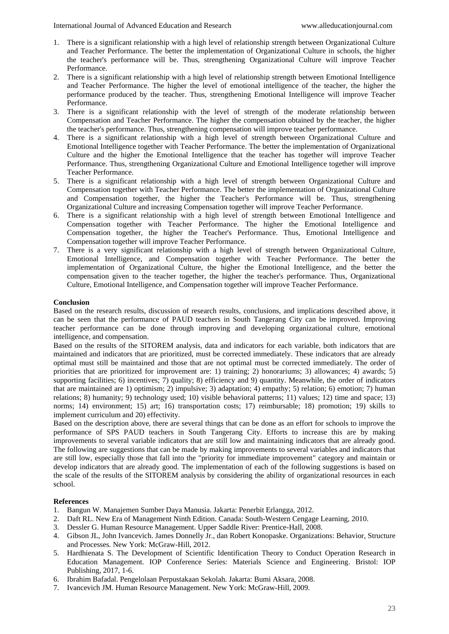- 1. There is a significant relationship with a high level of relationship strength between Organizational Culture and Teacher Performance. The better the implementation of Organizational Culture in schools, the higher the teacher's performance will be. Thus, strengthening Organizational Culture will improve Teacher Performance.
- 2. There is a significant relationship with a high level of relationship strength between Emotional Intelligence and Teacher Performance. The higher the level of emotional intelligence of the teacher, the higher the performance produced by the teacher. Thus, strengthening Emotional Intelligence will improve Teacher Performance.
- 3. There is a significant relationship with the level of strength of the moderate relationship between Compensation and Teacher Performance. The higher the compensation obtained by the teacher, the higher the teacher's performance. Thus, strengthening compensation will improve teacher performance.
- 4. There is a significant relationship with a high level of strength between Organizational Culture and Emotional Intelligence together with Teacher Performance. The better the implementation of Organizational Culture and the higher the Emotional Intelligence that the teacher has together will improve Teacher Performance. Thus, strengthening Organizational Culture and Emotional Intelligence together will improve Teacher Performance.
- 5. There is a significant relationship with a high level of strength between Organizational Culture and Compensation together with Teacher Performance. The better the implementation of Organizational Culture and Compensation together, the higher the Teacher's Performance will be. Thus, strengthening Organizational Culture and increasing Compensation together will improve Teacher Performance.
- 6. There is a significant relationship with a high level of strength between Emotional Intelligence and Compensation together with Teacher Performance. The higher the Emotional Intelligence and Compensation together, the higher the Teacher's Performance. Thus, Emotional Intelligence and Compensation together will improve Teacher Performance.
- 7. There is a very significant relationship with a high level of strength between Organizational Culture, Emotional Intelligence, and Compensation together with Teacher Performance. The better the implementation of Organizational Culture, the higher the Emotional Intelligence, and the better the compensation given to the teacher together, the higher the teacher's performance. Thus, Organizational Culture, Emotional Intelligence, and Compensation together will improve Teacher Performance.

# **Conclusion**

Based on the research results, discussion of research results, conclusions, and implications described above, it can be seen that the performance of PAUD teachers in South Tangerang City can be improved. Improving teacher performance can be done through improving and developing organizational culture, emotional intelligence, and compensation.

Based on the results of the SITOREM analysis, data and indicators for each variable, both indicators that are maintained and indicators that are prioritized, must be corrected immediately. These indicators that are already optimal must still be maintained and those that are not optimal must be corrected immediately. The order of priorities that are prioritized for improvement are: 1) training; 2) honorariums; 3) allowances; 4) awards; 5) supporting facilities; 6) incentives; 7) quality; 8) efficiency and 9) quantity. Meanwhile, the order of indicators that are maintained are 1) optimism; 2) impulsive; 3) adaptation; 4) empathy; 5) relation; 6) emotion; 7) human relations; 8) humanity; 9) technology used; 10) visible behavioral patterns; 11) values; 12) time and space; 13) norms; 14) environment; 15) art; 16) transportation costs; 17) reimbursable; 18) promotion; 19) skills to implement curriculum and 20) effectivity.

Based on the description above, there are several things that can be done as an effort for schools to improve the performance of SPS PAUD teachers in South Tangerang City. Efforts to increase this are by making improvements to several variable indicators that are still low and maintaining indicators that are already good. The following are suggestions that can be made by making improvements to several variables and indicators that are still low, especially those that fall into the "priority for immediate improvement" category and maintain or develop indicators that are already good. The implementation of each of the following suggestions is based on the scale of the results of the SITOREM analysis by considering the ability of organizational resources in each school.

# **References**

- 1. Bangun W. Manajemen Sumber Daya Manusia. Jakarta: Penerbit Erlangga, 2012.
- 2. Daft RL. New Era of Management Ninth Edition. Canada: South-Western Cengage Learning, 2010.
- 3. Dessler G. Human Resource Management. Upper Saddle River: Prentice-Hall, 2008.
- 4. Gibson JL, John Ivancevich. James Donnelly Jr., dan Robert Konopaske. Organizations: Behavior, Structure and Processes. New York: McGraw-Hill, 2012.
- 5. Hardhienata S. The Development of Scientific Identification Theory to Conduct Operation Research in Education Management. IOP Conference Series: Materials Science and Engineering. Bristol: IOP Publishing, 2017, 1-6.
- 6. Ibrahim Bafadal. Pengelolaan Perpustakaan Sekolah. Jakarta: Bumi Aksara, 2008.
- 7. Ivancevich JM. Human Resource Management. New York: McGraw-Hill, 2009.